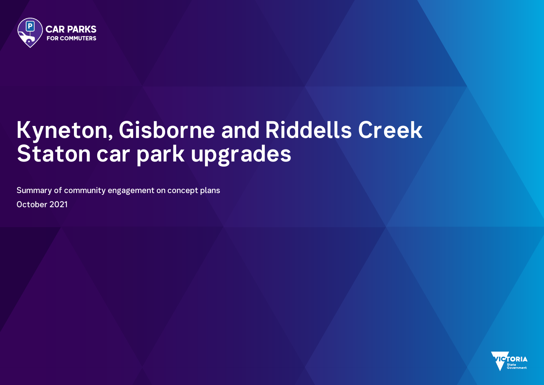

# **Kyneton, Gisborne and Riddells Creek Staton car park upgrades**

Summary of community engagement on concept plans October 2021



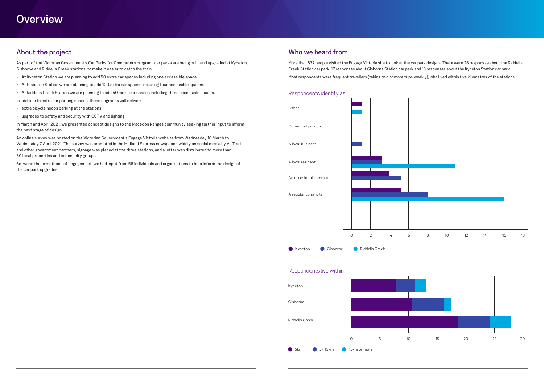# **Overview**

# About the project

As part of the Victorian Government's Car Parks for Commuters program, car parks are being built and upgraded at Kyneton, Gisborne and Riddells Creek stations, to make it easier to catch the train.

- At Kyneton Station we are planning to add 50 extra car spaces including one accessible space.
- At Gisborne Station we are planning to add 100 extra car spaces including four accessible spaces.
- At Riddells Creek Station we are planning to add 50 extra car spaces including three accessible spaces.

In addition to extra car parking spaces, these upgrades will deliver:

- extra bicycle hoops parking at the stations
- upgrades to safety and security with CCTV and lighting

In March and April 2021, we presented concept designs to the Macedon Ranges community seeking further input to inform the next stage of design.





An online survey was hosted on the Victorian Government's Engage Victoria website from Wednesday 10 March to Wednesday 7 April 2021. The survey was promoted in the Midland Express newspaper, widely on social media by VicTrack and other government partners, signage was placed at the three stations, and a letter was distributed to more than 60 local properties and community groups.

Between these methods of engagement, we had input from 58 individuals and organisations to help inform the design of the car park upgrades.

## Who we heard from

More than 677 people visited the Engage Victoria site to look at the car park designs. There were 28 responses about the Riddells Creek Station car park, 17 responses about Gisborne Station car park and 13 responses about the Kyneton Station car park. Most respondents were frequent travellers (taking two or more trips weekly), who lived within five kilometres of the stations.



#### Respondents live within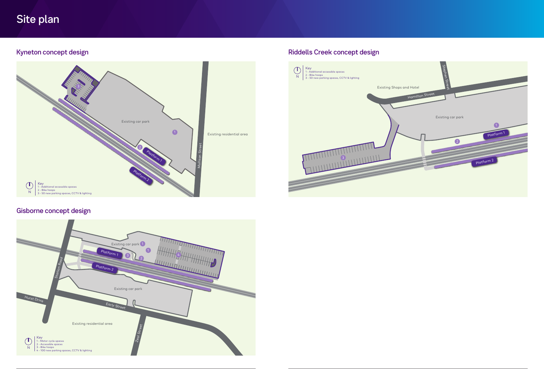

# Site plan



# Gisborne concept design



# Kyneton concept design and the state of the state of the Riddells Creek concept design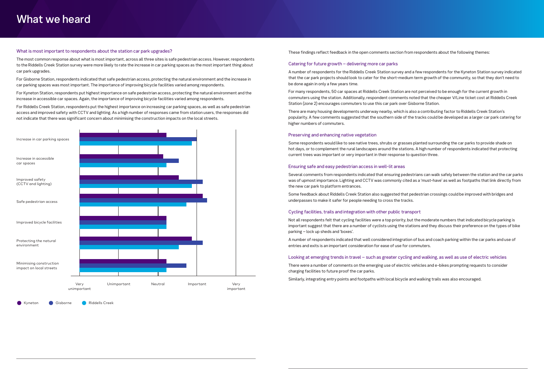#### What is most important to respondents about the station car park upgrades?

The most common response about what is most important, across all three sites is safe pedestrian access. However, respondents to the Riddells Creek Station survey were more likely to rate the increase in car parking spaces as the most important thing about car park upgrades.

For Gisborne Station, respondents indicated that safe pedestrian access, protecting the natural environment and the increase in car parking spaces was most important. The importance of improving bicycle facilities varied among respondents.

For Kyneton Station, respondents put highest importance on safe pedestrian access, protecting the natural environment and the increase in accessible car spaces. Again, the importance of improving bicycle facilities varied among respondents.



Kyneton Gisborne Riddells Creek

For Riddells Creek Station, respondents put the highest importance on increasing car parking spaces, as well as safe pedestrian access and improved safety with CCTV and lighting. As a high number of responses came from station users, the responses did not indicate that there was significant concern about minimising the construction impacts on the local streets.

These findings reflect feedback in the open comments section from respondents about the following themes:

#### Catering for future growth – delivering more car parks

 underpasses to make it safer for people needing to cross the tracks. Some feedback about Riddells Creek Station also suggested that pedestrian crossings could be improved with bridges and

A number of respondents for the Riddells Creek Station survey and a few respondents for the Kyneton Station survey indicated that the car park projects should look to cater for the short-medium term growth of the community, so that they don't need to be done again in only a few years time.

For many respondents, 50 car spaces at Riddells Creek Station are not perceived to be enough for the current growth in commuters using the station. Additionally, respondent comments noted that the cheaper V/Line ticket cost at Riddells Creek Station (zone 2) encourages commuters to use this car park over Gisborne Station.

There are many housing developments underway nearby, which is also a contributing factor to Riddells Creek Station's popularity. A few comments suggested that the southern side of the tracks could be developed as a larger car park catering for higher numbers of commuters.

#### Preserving and enhancing native vegetation

Some respondents would like to see native trees, shrubs or grasses planted surrounding the car parks to provide shade on hot days, or to complement the rural landscapes around the stations. A high number of respondents indicated that protecting current trees was important or very important in their response to question three.

#### Ensuring safe and easy pedestrian access in well-lit areas

Several comments from respondents indicated that ensuring pedestrians can walk safely between the station and the car parks was of upmost importance. Lighting and CCTV was commonly cited as a 'must-have' as well as footpaths that link directly from the new car park to platform entrances.

#### Cycling facilities, trails and integration with other public transport

Not all respondents felt that cycling facilities were a top priority, but the moderate numbers that indicated bicycle parking is important suggest that there are a number of cyclists using the stations and they discuss their preference on the types of bike parking – lock up sheds and 'boxes'.

A number of respondents indicated that well considered integration of bus and coach parking within the car parks and use of entries and exits is an important consideration for ease of use for commuters.

#### Looking at emerging trends in travel – such as greater cycling and walking, as well as use of electric vehicles

There were a number of comments on the emerging use of electric vehicles and e-bikes prompting requests to consider charging facilities to future proof the car parks.

Similarly, integrating entry points and footpaths with local bicycle and walking trails was also encouraged.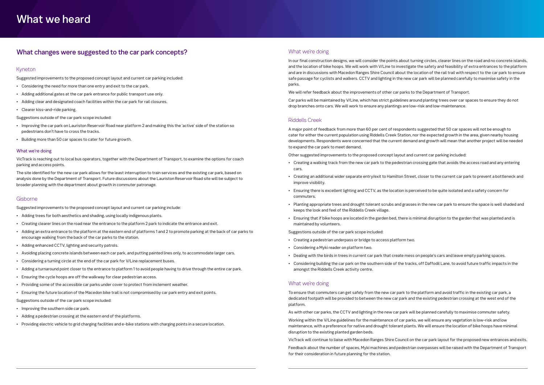## What changes were suggested to the car park concepts?

#### Kyneton

Suggested improvements to the proposed concept layout and current car parking included:

- Considering the need for more than one entry and exit to the car park.
- Adding additional gates at the car park entrance for public transport use only.
- Adding clear and designated coach facilities within the car park for rail closures.
- Clearer kiss-and-ride parking.

Suggestions outside of the car park scope included:

- Improving the car park on Lauriston Reservoir Road near platform 2 and making this the 'active' side of the station so pedestrians don't have to cross the tracks.
- Building more than 50 car spaces to cater for future growth.

#### What we're doing

VicTrack is reaching out to local bus operators, together with the Department of Transport, to examine the options for coach parking and access points.

The site identified for the new car park allows for the least interruption to train services and the existing car park, based on analysis done by the Department of Transport. Future discussions about the Lauriston Reservoir Road site will be subject to broader planning with the department about growth in commuter patronage.

#### Gisborne

Suggested improvements to the proposed concept layout and current car parking include:

- Adding trees for both aesthetics and shading, using locally indigenous plants.
- Creating clearer lines on the road near the entrance to the platform 2 park to indicate the entrance and exit.
- Adding an extra entrance to the platform at the eastern end of platforms 1 and 2 to promote parking at the back of car parks to encourage walking from the back of the car parks to the station.
- Adding enhanced CCTV, lighting and security patrols.
- Avoiding placing concrete islands between each car park, and putting painted lines only, to accommodate larger cars.
- Considering a turning circle at the end of the car park for V/Line replacement buses.
- Adding a turnaround point closer to the entrance to platform 1 to avoid people having to drive through the entire car park.
- Ensuring the cycle hoops are off the walkway for clear pedestrian access.
- Providing some of the accessible car parks under cover to protect from inclement weather.
- Ensuring the future location of the Macedon bike trail is not compromised by car park entry and exit points.

Suggestions outside of the car park scope included:

- Improving the southern side car park.
- Adding a pedestrian crossing at the eastern end of the platforms.
- Providing electric vehicle to grid charging facilities and e-bike stations with charging points in a secure location.

#### What we're doing

In our final construction designs, we will consider the points about turning circles, clearer lines on the road and no concrete islands, and the location of bike hoops. We will work with V/Line to investigate the safety and feasibility of extra entrances to the platform and are in discussions with Macedon Ranges Shire Council about the location of the rail trail with respect to the car park to ensure safe passage for cyclists and walkers. CCTV and lighting in the new car park will be planned carefully to maximise safety in the parks.

We will refer feedback about the improvements of other car parks to the Department of Transport.

Car parks will be maintained by V/Line, which has strict guidelines around planting trees over car spaces to ensure they do not drop branches onto cars. We will work to ensure any plantings are low-risk and low-maintenance.

#### Riddells Creek

A major point of feedback from more than 60 per cent of respondents suggested that 50 car spaces will not be enough to cater for either the current population using Riddells Creek Station, nor the expected growth in the area, given nearby housing developments. Respondents were concerned that the current demand and growth will mean that another project will be needed to expand the car park to meet demand.

Other suggested improvements to the proposed concept layout and current car parking included:

- Creating a walking track from the new car park to the pedestrian crossing gate that avoids the access road and any entering cars.
- Creating an additional wider separate entry/exit to Hamilton Street, closer to the current car park to prevent a bottleneck and improve visibility.
- Ensuring there is excellent lighting and CCTV, as the location is perceived to be quite isolated and a safety concern for commuters.
- Planting appropriate trees and drought tolerant scrubs and grasses in the new car park to ensure the space is well shaded and keeps the look and feel of the Riddells Creek village.
- Ensuring that if bike hoops are located in the garden bed, there is minimal disruption to the garden that was planted and is maintained by volunteers.

Suggestions outside of the car park scope included:

- Creating a pedestrian underpass or bridge to access platform two.
- Considering a Myki reader on platform two.
- Dealing with the birds in trees in current car park that create mess on people's cars and leave empty parking spaces.
- amongst the Riddells Creek activity centre.

• Considering building the car park on the southern side of the tracks, off Daffodil Lane, to avoid future traffic impacts in the

#### What we're doing

To ensure that commuters can get safely from the new car park to the platform and avoid traffic in the existing car park, a dedicated footpath will be provided to between the new car park and the existing pedestrian crossing at the west end of the platform.

As with other car parks, the CCTV and lighting in the new car park will be planned carefully to maximise commuter safety.

Working within the V/Line guidelines for the maintenance of car parks, we will ensure any vegetation is low-risk and low maintenance, with a preference for native and drought tolerant plants. We will ensure the location of bike hoops have minimal disruption to the existing planted garden beds.

VicTrack will continue to liaise with Macedon Ranges Shire Council on the car park layout for the proposed new entrances and exits. Feedback about the number of spaces, Myki machines and pedestrian overpasses will be raised with the Department of Transport

for their consideration in future planning for the station.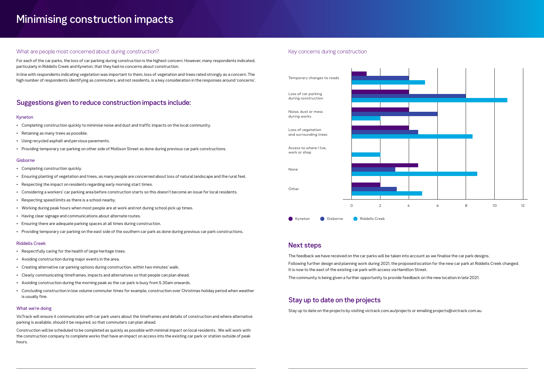# Minimising construction impacts

#### What are people most concerned about during construction?

For each of the car parks, the loss of car parking during construction is the highest concern. However, many respondents indicated, particularly in Riddells Creek and Kyneton, that they had no concerns about construction.

In line with respondents indicating vegetation was important to them, loss of vegetation and trees rated strongly as a concern. The high number of respondents identifying as commuters, and not residents, is a key consideration in the responses around 'concerns'.

## Suggestions given to reduce construction impacts include:

#### Kyneton

- Completing construction quickly to minimise noise and dust and traffic impacts on the local community.
- Retaining as many trees as possible.
- Using recycled asphalt and pervious pavements.
- Providing temporary car parking on other side of Mollison Street as done during previous car park constructions.

#### **Gisborne**

- Completing construction quickly.
- Ensuring planting of vegetation and trees, as many people are concerned about loss of natural landscape and the rural feel.
- Respecting the impact on residents regarding early morning start times.
- Considering a workers' car parking area before construction starts so this doesn't become an issue for local residents.
- Respecting speed limits as there is a school nearby.
- Working during peak hours when most people are at work and not during school pick up times.
- Having clear signage and communications about alternate routes.
- Ensuring there are adequate parking spaces at all times during construction.
- Providing temporary car parking on the east side of the southern car park as done during previous car park constructions.



#### Riddells Creek

- Respectfully caring for the health of large heritage trees.
- Avoiding construction during major events in the area.
- Creating alternative car parking options during construction, within two minutes' walk.
- Clearly communicating timeframes, impacts and alternatives so that people can plan ahead.
- Avoiding construction during the morning peak as the car park is busy from 5.30am onwards.
- Concluding construction in low volume commuter times for example, construction over Christmas holiday period when weather is usually fine.

#### What we're doing

VicTrack will ensure it communicates with car park users about the timeframes and details of construction and where alternative parking is available, should it be required, so that commuters can plan ahead.

Construction will be scheduled to be completed as quickly as possible with minimal impact on local residents. We will work with the construction company to complete works that have an impact on access into the existing car park or station outside of peak hours.

#### Key concerns during construction

#### Next steps

The feedback we have received on the car parks will be taken into account as we finalise the car park designs. Following further design and planning work during 2021, the proposed location for the new car park at Riddells Creek changed. It is now to the east of the existing car park with access via Hamilton Street. The community is being given a further opportunity to provide feedback on the new location in late 2021.

### Stay up to date on the projects

Stay up to date on the projects by visiting victrack.com.au/projects or emailing projects@victrack.com.au